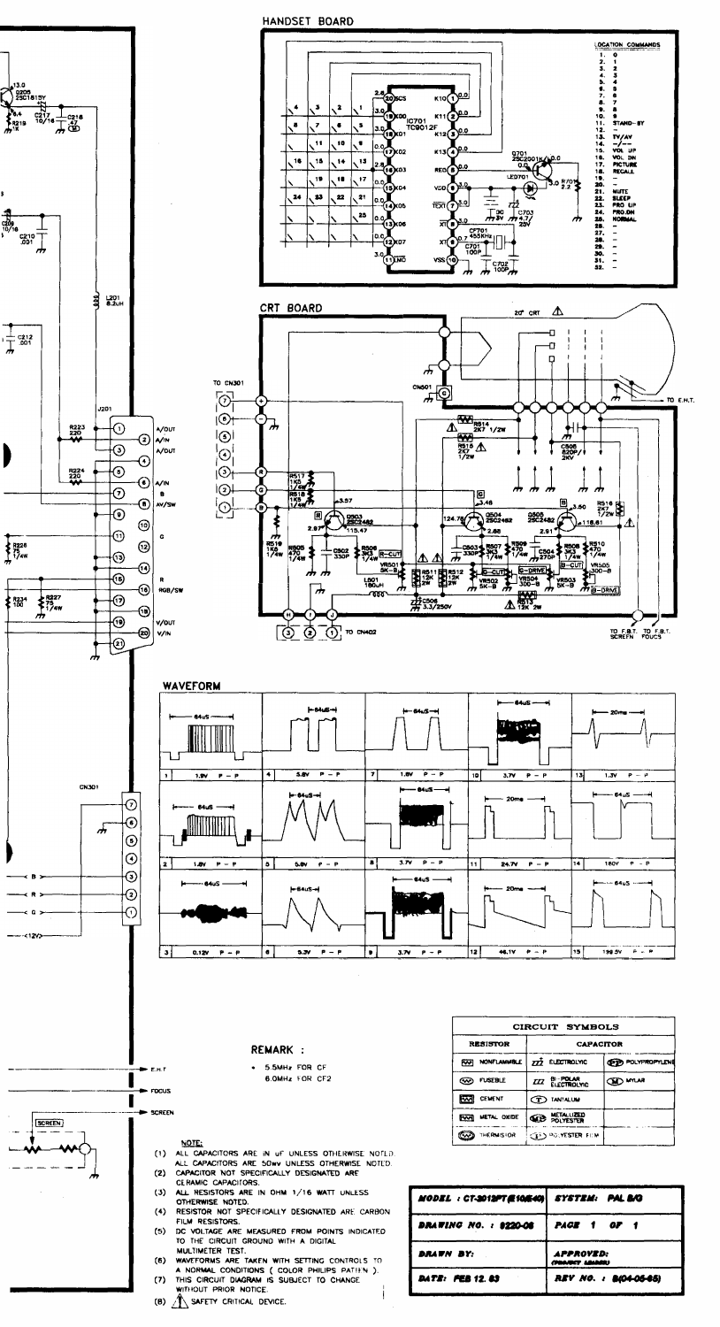

HANDSET BOARD





## REMARK :

\* 5.5MHz FOR CF **6.0MHz FOR CF2** 

## NOTE:

- (1) ALL CAPACITORS ARE IN UF UNLESS OTHERWISE NOTED. ALL CAPACITORS ARE 50wv UNLESS OTHERWISE NOTED.
- (2) CAPACITOR NOT SPECIFICALLY DESIGNATED ARE CERAMIC CAPACITORS.
- (3) ALL RESISTORS ARE IN OHM 1/16 WATT UNLESS OTHERWISE NOTED.
- (4) RESISTOR NOT SPECIFICALLY DESIGNATED ARE CARBON FILM RESISTORS.
- (5) DC VOLTAGE ARE MEASURED FROM POINTS INDICATED TO THE CIRCUIT GROUND WITH A DIGITAL MULTIMETER TEST.
- (6) WAVEFORMS ARE TAKEN WITH SETTING CONTROLS TO A NORMAL CONDITIONS ( COLOR PHILIPS PATIEN ).
- (7) THIS CIRCUIT DIAGRAM IS SUBJECT TO CHANGE WITHOUT PRIOR NOTICE.
- (B) / SAFETY CRITICAL DEVICE.

| CIRCUIT SYMBOLS                 |                                                       |                          |
|---------------------------------|-------------------------------------------------------|--------------------------|
| <b>RESISTOR</b>                 | <b>CAPACITOR</b>                                      |                          |
| <b>NONFLAMMBLE</b><br><b>RW</b> | TIZ ELECTROLYIC                                       | <b>COD POLYPROPYLENE</b> |
| <b>FUSEBLE</b><br><b>Exp</b>    | $BI - POLAR$<br>$I\!\!Z$<br>ELECTROLYIC               | <b><i>UMLAR</i></b>      |
| <b>CEMENT</b><br><b>W</b>       | <b>TANTALUM</b><br>$\tau$                             |                          |
| METAL OXIDE<br><u>kw</u>        | <b>METALLIZED</b><br><b>AB</b><br>POLYESTER           |                          |
| <b>THERMISIOR</b>               | <b>PO YESTER FILM</b><br>$\langle \mathbf{P} \rangle$ |                          |

| <b>PAGE 1 OF 1</b>                         |  |
|--------------------------------------------|--|
| <i><b>APPROVED:</b></i><br>(POARCT LAIMAR) |  |
| REV NO. : 8(04-05-85)                      |  |
|                                            |  |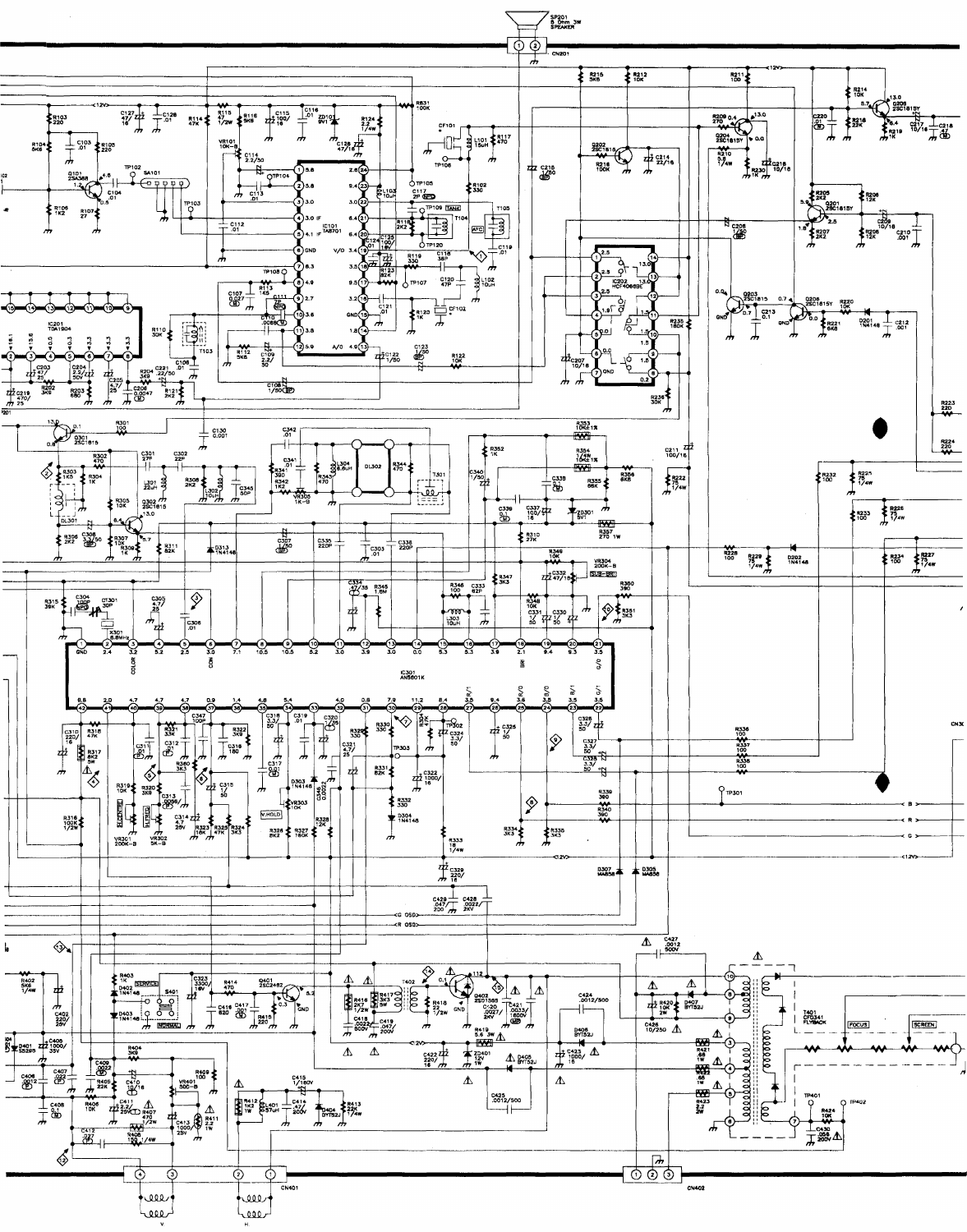